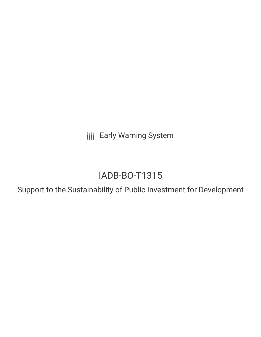**III** Early Warning System

# IADB-BO-T1315

Support to the Sustainability of Public Investment for Development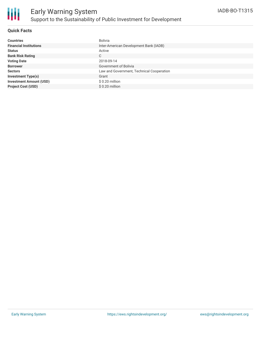

### **Quick Facts**

| <b>Countries</b>               | Bolivia                                   |
|--------------------------------|-------------------------------------------|
| <b>Financial Institutions</b>  | Inter-American Development Bank (IADB)    |
| <b>Status</b>                  | Active                                    |
| <b>Bank Risk Rating</b>        | C                                         |
| <b>Voting Date</b>             | 2018-09-14                                |
| <b>Borrower</b>                | Government of Bolivia                     |
| <b>Sectors</b>                 | Law and Government, Technical Cooperation |
| <b>Investment Type(s)</b>      | Grant                                     |
| <b>Investment Amount (USD)</b> | \$ 0.20 million                           |
| <b>Project Cost (USD)</b>      | \$ 0.20 million                           |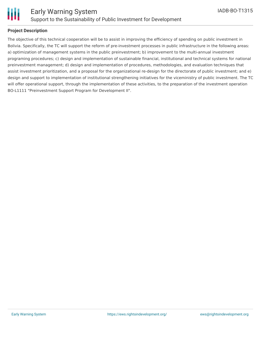

### **Project Description**

The objective of this technical cooperation will be to assist in improving the efficiency of spending on public investment in Bolivia. Specifically, the TC will support the reform of pre-investment processes in public infrastructure in the following areas: a) optimization of management systems in the public preinvestment; b) improvement to the multi-annual investment programing procedures; c) design and implementation of sustainable financial, institutional and technical systems for national preinvestment management; d) design and implementation of procedures, methodologies, and evaluation techniques that assist investment prioritization, and a proposal for the organizational re-design for the directorate of public investment; and e) design and support to implementation of institutional strengthening initiatives for the viceministry of public investment. The TC will offer operational support, through the implementation of these activities, to the preparation of the investment operation BO-L1111 "Preinvestment Support Program for Development II".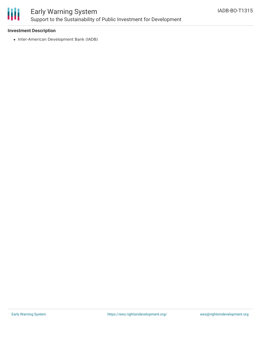

# Early Warning System Support to the Sustainability of Public Investment for Development

### **Investment Description**

• Inter-American Development Bank (IADB)